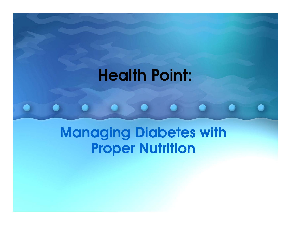### Health Point:

#### Managing Diabetes with **Proper Nutrition**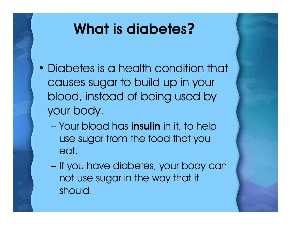### What is diabetes **?**

- Diabetes is a health condition that causes sugar to build up in your blood, instead of being used by your body.
	- Your blood has **insulin** in it, to help use sugar from the food that you eat.
	- If you have diabetes, your body can not use sugar in the way that it should.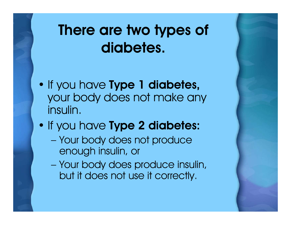# There are two types of diabetes.

- If you have **Type 1 diabetes,** your body does not make any insulin.
- If you have **Type 2 diabetes:** 
	- Your body does not produce enough insulin, or
	- Your body does produce insulin, but it does not use it correctly.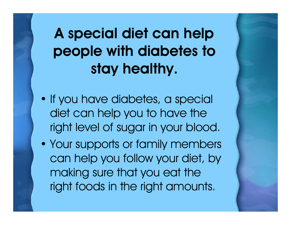A special diet can help people with diabetes to stay healthy.

- If you have diabetes, a special diet can help you to have the right level of sugar in your blood.
- Your supports or family members can help you follow your diet, by making sure that you eat the right foods in the right amounts.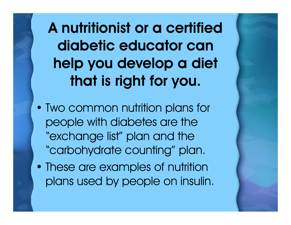A nutritionist or a certified diabetic educator can help you develop a diet that is right for you.

- Two common nutrition plans for people with diabetes are the "exchange list" plan and the "carbohydrate counting" plan.
- These are examples of nutrition plans used by people on insulin.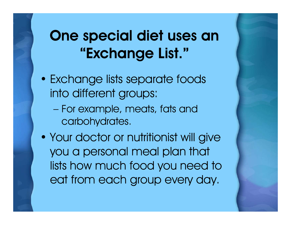# One special diet uses an "Exchange List."

- Exchange lists separate foods into different groups:
	- For example, meats, fats and carbohydrates.
- Your doctor or nutritionist will give you a personal meal plan that lists how much food you need to eat from each group every day.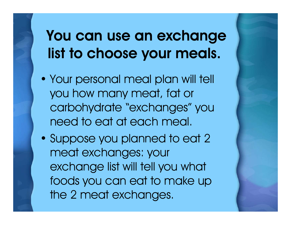# You can use an exchange list to choose your meals.

- Your personal meal plan will tell you how many meat, fat or carbohydrate "exchanges" you need to eat at each meal.
- Suppose you planned to eat 2 meat exchanges: your exchange list will tell you what foods you can eat to make up the 2 meat exchanges.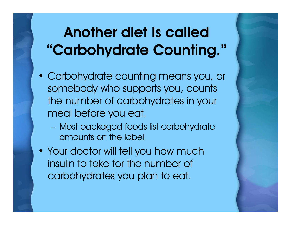# Another diet is called "Carbohydrate Counting."

- Carbohydrate counting means you, or somebody who supports you, counts the number of carbohydrates in your meal before you eat.
	- Most packaged foods list carbohydrate amounts on the label.
- Your doctor will tell you how much insulin to take for the number of carbohydrates you plan to eat.